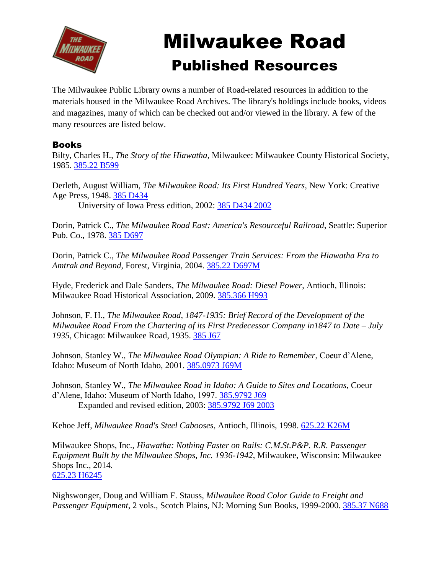

## Milwaukee Road Published Resources

The Milwaukee Public Library owns a number of Road-related resources in addition to the materials housed in the Milwaukee Road Archives. The library's holdings include books, videos and magazines, many of which can be checked out and/or viewed in the library. A few of the many resources are listed below.

## Books

Bilty, Charles H., *The Story of the Hiawatha*, Milwaukee: Milwaukee County Historical Society, 1985. [385.22 B599](https://encore.mcfls.org/iii/encore/record/C__Rb1277325)

Derleth, August William, *The Milwaukee Road: Its First Hundred Years*, New York: Creative Age Press, 1948. [385 D434](https://encore.mcfls.org/iii/encore/record/C__Rb1484301) University of Iowa Press edition, 2002: [385 D434 2002](https://encore.mcfls.org/iii/encore/record/C__Rb2876277)

Dorin, Patrick C., *The Milwaukee Road East: America's Resourceful Railroad*, Seattle: Superior

Pub. Co., 1978. [385 D697](https://encore.mcfls.org/iii/encore/record/C__Rb1761840)

Dorin, Patrick C., *The Milwaukee Road Passenger Train Services: From the Hiawatha Era to Amtrak and Beyond*, Forest, Virginia, 2004. [385.22 D697M](https://encore.mcfls.org/iii/encore/record/C__Rb3039740)

Hyde, Frederick and Dale Sanders, *The Milwaukee Road: Diesel Power*, Antioch, Illinois: Milwaukee Road Historical Association, 2009. [385.366 H993](https://encore.mcfls.org/iii/encore/record/C__Rb3453957)

Johnson, F. H., *The Milwaukee Road, 1847-1935: Brief Record of the Development of the Milwaukee Road From the Chartering of its First Predecessor Company in1847 to Date – July 1935*, Chicago: Milwaukee Road, 1935. [385 J67](https://encore.mcfls.org/iii/encore/record/C__Rb1353005)

Johnson, Stanley W., *The Milwaukee Road Olympian: A Ride to Remember*, Coeur d'Alene, Idaho: Museum of North Idaho, 2001. [385.0973 J69M](https://encore.mcfls.org/iii/encore/record/C__Rb2799152)

Johnson, Stanley W., *The Milwaukee Road in Idaho: A Guide to Sites and Locations*, Coeur d'Alene, Idaho: Museum of North Idaho, 1997. [385.9792 J69](https://encore.mcfls.org/iii/encore/record/C__Rb2495343) Expanded and revised edition, 2003: [385.9792 J69 2003](https://encore.mcfls.org/iii/encore/record/C__Rb2959787)

Kehoe Jeff, *Milwaukee Road's Steel Cabooses*, Antioch, Illinois, 1998. [625.22 K26M](https://encore.mcfls.org/iii/encore/record/C__Rb2615068)

Milwaukee Shops, Inc., *Hiawatha: Nothing Faster on Rails: C.M.St.P&P. R.R. Passenger Equipment Built by the Milwaukee Shops, Inc. 1936-1942*, Milwaukee, Wisconsin: Milwaukee Shops Inc., 2014. [625.23 H6245](https://encore.mcfls.org/iii/encore/record/C__Rb3811457)

Nighswonger, Doug and William F. Stauss, *Milwaukee Road Color Guide to Freight and Passenger Equipment*, 2 vols., Scotch Plains, NJ: Morning Sun Books, 1999-2000. [385.37 N688](https://encore.mcfls.org/iii/encore/record/C__Rb2675207)